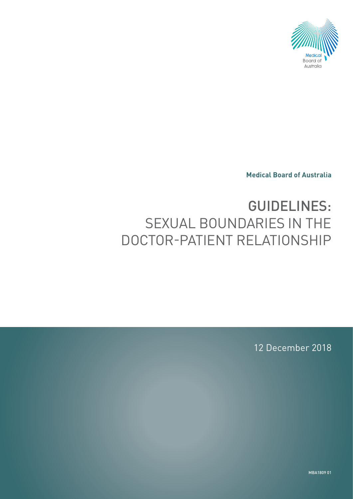

**Medical Board of Australia**

# GUIDELINES: SEXUAL BOUNDARIES IN THE DOCTOR-PATIENT RELATIONSHIP

12 December 2018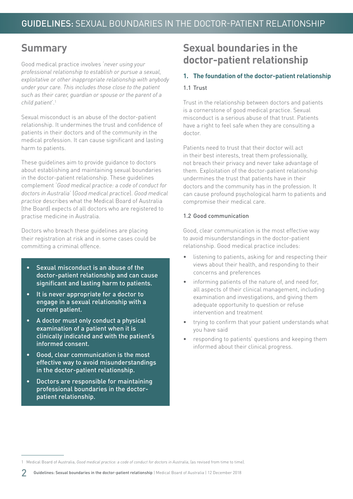# **Summary**

Good medical practice involves '*never using your professional relationship to establish or pursue a sexual, exploitative or other inappropriate relationship with anybody under your care. This includes those close to the patient such as their carer, guardian or spouse or the parent of a child patient*'.1

Sexual misconduct is an abuse of the doctor-patient relationship. It undermines the trust and confidence of patients in their doctors and of the community in the medical profession. It can cause significant and lasting harm to patients.

These guidelines aim to provide guidance to doctors about establishing and maintaining sexual boundaries in the doctor-patient relationship. These guidelines complement '*Good medical practice: a code of conduct for doctors in Australia*' (*Good medical practice*). *Good medical practice* describes what the Medical Board of Australia (the Board) expects of all doctors who are registered to practise medicine in Australia.

Doctors who breach these guidelines are placing their registration at risk and in some cases could be committing a criminal offence.

- Sexual misconduct is an abuse of the doctor-patient relationship and can cause significant and lasting harm to patients.
- It is never appropriate for a doctor to engage in a sexual relationship with a current patient.
- A doctor must only conduct a physical examination of a patient when it is clinically indicated and with the patient's informed consent.
- Good, clear communication is the most effective way to avoid misunderstandings in the doctor-patient relationship.
- Doctors are responsible for maintaining professional boundaries in the doctorpatient relationship.

# **Sexual boundaries in the doctor-patient relationship**

#### **1. The foundation of the doctor-patient relationship**

#### 1.1 Trust

Trust in the relationship between doctors and patients is a cornerstone of good medical practice. Sexual misconduct is a serious abuse of that trust. Patients have a right to feel safe when they are consulting a doctor.

Patients need to trust that their doctor will act in their best interests, treat them professionally not breach their privacy and never take advantage of them. Exploitation of the doctor-patient relationship undermines the trust that patients have in their doctors and the community has in the profession. It can cause profound psychological harm to patients and compromise their medical care.

#### 1.2 Good communication

Good, clear communication is the most effective way to avoid misunderstandings in the doctor-patient relationship. Good medical practice includes:

- listening to patients, asking for and respecting their views about their health, and responding to their concerns and preferences
- informing patients of the nature of, and need for, all aspects of their clinical management, including examination and investigations, and giving them adequate opportunity to question or refuse intervention and treatment
- trying to confirm that your patient understands what you have said
- responding to patients' questions and keeping them informed about their clinical progress.

<sup>1</sup> Medical Board of Australia, *Good medical practice: a code of conduct for doctors in Australia*, (as revised from time to time).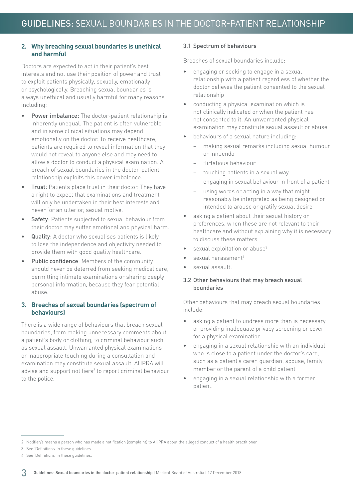#### **2. Why breaching sexual boundaries is unethical and harmful**

Doctors are expected to act in their patient's best interests and not use their position of power and trust to exploit patients physically, sexually, emotionally or psychologically. Breaching sexual boundaries is always unethical and usually harmful for many reasons including:

- Power imbalance: The doctor-patient relationship is inherently unequal. The patient is often vulnerable and in some clinical situations may depend emotionally on the doctor. To receive healthcare, patients are required to reveal information that they would not reveal to anyone else and may need to allow a doctor to conduct a physical examination. A breach of sexual boundaries in the doctor-patient relationship exploits this power imbalance.
- Trust: Patients place trust in their doctor. They have a right to expect that examinations and treatment will only be undertaken in their best interests and never for an ulterior, sexual motive.
- Safety: Patients subjected to sexual behaviour from their doctor may suffer emotional and physical harm.
- Quality: A doctor who sexualises patients is likely to lose the independence and objectivity needed to provide them with good quality healthcare.
- Public confidence: Members of the community should never be deterred from seeking medical care, permitting intimate examinations or sharing deeply personal information, because they fear potential abuse.

#### **3. Breaches of sexual boundaries (spectrum of behaviours)**

There is a wide range of behaviours that breach sexual boundaries, from making unnecessary comments about a patient's body or clothing, to criminal behaviour such as sexual assault. Unwarranted physical examinations or inappropriate touching during a consultation and examination may constitute sexual assault. AHPRA will advise and support notifiers<sup>2</sup> to report criminal behaviour to the police.

#### 3.1 Spectrum of behaviours

Breaches of sexual boundaries include:

- engaging or seeking to engage in a sexual relationship with a patient regardless of whether the doctor believes the patient consented to the sexual relationship
- conducting a physical examination which is not clinically indicated or when the patient has not consented to it. An unwarranted physical examination may constitute sexual assault or abuse
- behaviours of a sexual nature including:
	- − making sexual remarks including sexual humour or innuendo
	- − flirtatious behaviour
	- touching patients in a sexual way
	- engaging in sexual behaviour in front of a patient
	- using words or acting in a way that might reasonably be interpreted as being designed or intended to arouse or gratify sexual desire
- asking a patient about their sexual history or preferences, when these are not relevant to their healthcare and without explaining why it is necessary to discuss these matters
- sexual exploitation or abuse<sup>3</sup>
- sexual harassment<sup>4</sup>
- sexual assault.

#### 3.2 Other behaviours that may breach sexual boundaries

Other behaviours that may breach sexual boundaries include:

- asking a patient to undress more than is necessary or providing inadequate privacy screening or cover for a physical examination
- engaging in a sexual relationship with an individual who is close to a patient under the doctor's care, such as a patient's carer, guardian, spouse, family member or the parent of a child patient
- engaging in a sexual relationship with a former patient.

<sup>2</sup> Notifier/s means a person who has made a notification (complaint) to AHPRA about the alleged conduct of a health practitioner.

<sup>3</sup> See 'Definitions' in these guidelines.

<sup>4</sup> See 'Definitions' in these guidelines.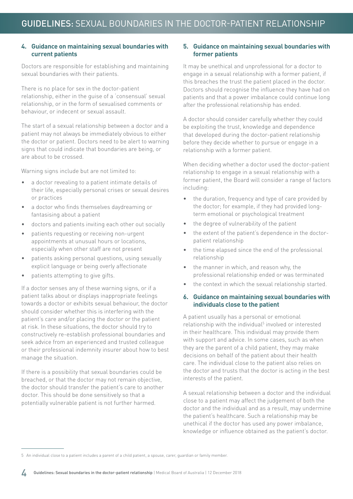#### **4. Guidance on maintaining sexual boundaries with current patients**

Doctors are responsible for establishing and maintaining sexual boundaries with their patients.

There is no place for sex in the doctor-patient relationship, either in the guise of a 'consensual' sexual relationship, or in the form of sexualised comments or behaviour, or indecent or sexual assault.

The start of a sexual relationship between a doctor and a patient may not always be immediately obvious to either the doctor or patient. Doctors need to be alert to warning signs that could indicate that boundaries are being, or are about to be crossed.

Warning signs include but are not limited to:

- a doctor revealing to a patient intimate details of their life, especially personal crises or sexual desires or practices
- a doctor who finds themselves daydreaming or fantasising about a patient
- doctors and patients inviting each other out socially
- patients requesting or receiving non-urgent appointments at unusual hours or locations, especially when other staff are not present
- patients asking personal questions, using sexually explicit language or being overly affectionate
- patients attempting to give gifts.

If a doctor senses any of these warning signs, or if a patient talks about or displays inappropriate feelings towards a doctor or exhibits sexual behaviour, the doctor should consider whether this is interfering with the patient's care and/or placing the doctor or the patient at risk. In these situations, the doctor should try to constructively re-establish professional boundaries and seek advice from an experienced and trusted colleague or their professional indemnity insurer about how to best manage the situation.

If there is a possibility that sexual boundaries could be breached, or that the doctor may not remain objective, the doctor should transfer the patient's care to another doctor. This should be done sensitively so that a potentially vulnerable patient is not further harmed.

#### **5. Guidance on maintaining sexual boundaries with former patients**

It may be unethical and unprofessional for a doctor to engage in a sexual relationship with a former patient, if this breaches the trust the patient placed in the doctor. Doctors should recognise the influence they have had on patients and that a power imbalance could continue long after the professional relationship has ended.

A doctor should consider carefully whether they could be exploiting the trust, knowledge and dependence that developed during the doctor-patient relationship before they decide whether to pursue or engage in a relationship with a former patient.

When deciding whether a doctor used the doctor-patient relationship to engage in a sexual relationship with a former patient, the Board will consider a range of factors including:

- the duration, frequency and type of care provided by the doctor; for example, if they had provided longterm emotional or psychological treatment
- the degree of vulnerability of the patient
- the extent of the patient's dependence in the doctorpatient relationship
- the time elapsed since the end of the professional relationship
- the manner in which, and reason why, the professional relationship ended or was terminated
- the context in which the sexual relationship started.

#### **6. Guidance on maintaining sexual boundaries with individuals close to the patient**

A patient usually has a personal or emotional relationship with the individual<sup>5</sup> involved or interested in their healthcare. This individual may provide them with support and advice. In some cases, such as when they are the parent of a child patient, they may make decisions on behalf of the patient about their health care. The individual close to the patient also relies on the doctor and trusts that the doctor is acting in the best interests of the patient.

A sexual relationship between a doctor and the individual close to a patient may affect the judgement of both the doctor and the individual and as a result, may undermine the patient's healthcare. Such a relationship may be unethical if the doctor has used any power imbalance, knowledge or influence obtained as the patient's doctor.

<sup>5</sup> An individual close to a patient includes a parent of a child patient, a spouse, carer, guardian or family member.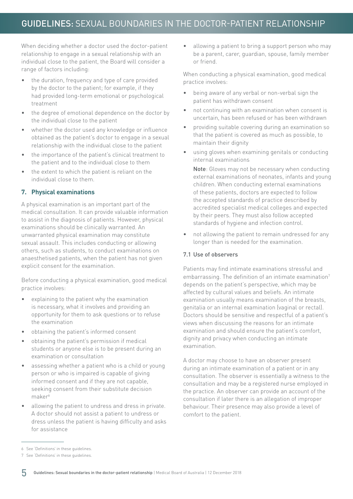When deciding whether a doctor used the doctor-patient relationship to engage in a sexual relationship with an individual close to the patient, the Board will consider a range of factors including:

- the duration, frequency and type of care provided by the doctor to the patient; for example, if they had provided long-term emotional or psychological treatment
- the degree of emotional dependence on the doctor by the individual close to the patient
- whether the doctor used any knowledge or influence obtained as the patient's doctor to engage in a sexual relationship with the individual close to the patient
- the importance of the patient's clinical treatment to the patient and to the individual close to them
- the extent to which the patient is reliant on the individual close to them.

#### **7. Physical examinations**

A physical examination is an important part of the medical consultation. It can provide valuable information to assist in the diagnosis of patients. However, physical examinations should be clinically warranted. An unwarranted physical examination may constitute sexual assault. This includes conducting or allowing others, such as students, to conduct examinations on anaesthetised patients, when the patient has not given explicit consent for the examination.

Before conducting a physical examination, good medical practice involves:

- explaining to the patient why the examination is necessary, what it involves and providing an opportunity for them to ask questions or to refuse the examination
- obtaining the patient's informed consent
- obtaining the patient's permission if medical students or anyone else is to be present during an examination or consultation
- assessing whether a patient who is a child or young person or who is impaired is capable of giving informed consent and if they are not capable, seeking consent from their substitute decision maker<sup>6</sup>
- allowing the patient to undress and dress in private. A doctor should not assist a patient to undress or dress unless the patient is having difficulty and asks for assistance

• allowing a patient to bring a support person who may be a parent, carer, guardian, spouse, family member or friend.

When conducting a physical examination, good medical practice involves:

- being aware of any verbal or non-verbal sign the patient has withdrawn consent
- not continuing with an examination when consent is uncertain, has been refused or has been withdrawn
- providing suitable covering during an examination so that the patient is covered as much as possible, to maintain their dignity
- using gloves when examining genitals or conducting internal examinations

Note: Gloves may not be necessary when conducting external examinations of neonates, infants and young children. When conducting external examinations of these patients, doctors are expected to follow the accepted standards of practice described by accredited specialist medical colleges and expected by their peers. They must also follow accepted standards of hygiene and infection control.

• not allowing the patient to remain undressed for any longer than is needed for the examination.

#### 7.1 Use of observers

Patients may find intimate examinations stressful and embarrassing. The definition of an intimate examination<sup>7</sup> depends on the patient's perspective, which may be affected by cultural values and beliefs. An intimate examination usually means examination of the breasts, genitalia or an internal examination (vaginal or rectal). Doctors should be sensitive and respectful of a patient's views when discussing the reasons for an intimate examination and should ensure the patient's comfort, dignity and privacy when conducting an intimate examination.

A doctor may choose to have an observer present during an intimate examination of a patient or in any consultation. The observer is essentially a witness to the consultation and may be a registered nurse employed in the practice. An observer can provide an account of the consultation if later there is an allegation of improper behaviour. Their presence may also provide a level of comfort to the patient.

<sup>6</sup> See 'Definitions' in these guidelines.

<sup>7</sup> See 'Definitions' in these guidelines.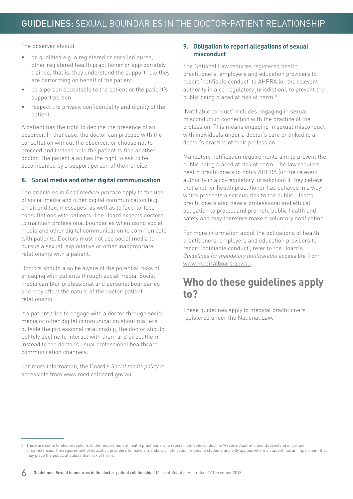The observer should:

- be qualified e.g. a registered or enrolled nurse, other registered health practitioner or appropriately trained, that is, they understand the support role they are performing on behalf of the patient
- be a person acceptable to the patient or the patient's support person
- respect the privacy, confidentiality and dignity of the patient.

A patient has the right to decline the presence of an observer. In that case, the doctor can proceed with the consultation without the observer, or choose not to proceed and instead help the patient to find another doctor. The patient also has the right to ask to be accompanied by a support person of their choice.

#### **8. Social media and other digital communication**

The principles in *Good medical practice* apply to the use of social media and other digital communication (e.g. email and text messages) as well as to face-to-face consultations with patients. The Board expects doctors to maintain professional boundaries when using social media and other digital communication to communicate with patients. Doctors must not use social media to pursue a sexual, exploitative or other inappropriate relationship with a patient.

Doctors should also be aware of the potential risks of engaging with patients through social media. Social media can blur professional and personal boundaries and may affect the nature of the doctor-patient relationship.

If a patient tries to engage with a doctor through social media or other digital communication about matters outside the professional relationship, the doctor should politely decline to interact with them and direct them instead to the doctor's usual professional healthcare communication channels.

For more information, the Board's *Social media policy* is accessible from [www.medicalboard.gov.au.](http://www.medicalboard.gov.au)

#### **9. Obligation to report allegations of sexual misconduct**

The National Law requires registered health practitioners, employers and education providers to report 'notifiable conduct' to AHPRA (or the relevant authority in a co-regulatory jurisdiction), to prevent the public being placed at risk of harm.<sup>8</sup>

'Notifiable conduct' includes engaging in sexual misconduct in connection with the practice of the profession. This means engaging in sexual misconduct with individuals under a doctor's care or linked to a doctor's practice of their profession.

Mandatory notification requirements aim to prevent the public being placed at risk of harm. The law requires health practitioners to notify AHPRA (or the relevant authority in a co-regulatory jurisdiction) if they believe that another health practitioner has behaved in a way which presents a serious risk to the public. Health practitioners also have a professional and ethical obligation to protect and promote public health and safety and may therefore make a voluntary notification.

For more information about the obligations of health practitioners, employers and education providers to report 'notifiable conduct', refer to the Board's *Guidelines for mandatory notifications* accessible from [www.medicalboard.gov.au.](http://www.medicalboard.gov.au)

# **Who do these guidelines apply to?**

These guidelines apply to medical practitioners registered under the National Law.

<sup>8</sup> There are some limited exceptions to the requirement of health practitioners to report 'notifiable conduct' in Western Australia and Queensland in certain circumstances. The requirement of education providers to make a mandatory notification relates to students and only applies where a student has an impairment that may place the public at substantial risk of harm.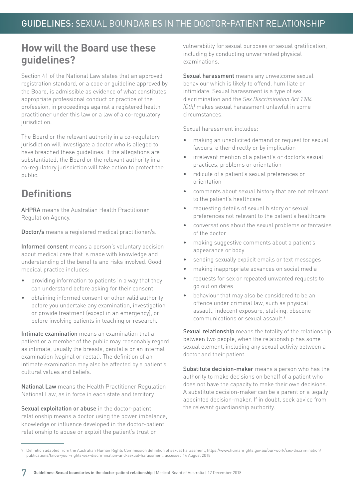### **How will the Board use these guidelines?**

Section 41 of the National Law states that an approved registration standard, or a code or guideline approved by the Board, is admissible as evidence of what constitutes appropriate professional conduct or practice of the profession, in proceedings against a registered health practitioner under this law or a law of a co-regulatory jurisdiction.

The Board or the relevant authority in a co-regulatory jurisdiction will investigate a doctor who is alleged to have breached these guidelines. If the allegations are substantiated, the Board or the relevant authority in a co-regulatory jurisdiction will take action to protect the public.

# **Definitions**

AHPRA means the Australian Health Practitioner Regulation Agency.

Doctor/s means a registered medical practitioner/s.

Informed consent means a person's voluntary decision about medical care that is made with knowledge and understanding of the benefits and risks involved. Good medical practice includes:

- providing information to patients in a way that they can understand before asking for their consent
- obtaining informed consent or other valid authority before you undertake any examination, investigation or provide treatment (except in an emergency), or before involving patients in teaching or research.

Intimate examination means an examination that a patient or a member of the public may reasonably regard as intimate, usually the breasts, genitalia or an internal examination (vaginal or rectal). The definition of an intimate examination may also be affected by a patient's cultural values and beliefs.

National Law means the Health Practitioner Regulation National Law, as in force in each state and territory.

Sexual exploitation or abuse in the doctor-patient relationship means a doctor using the power imbalance, knowledge or influence developed in the doctor-patient relationship to abuse or exploit the patient's trust or

vulnerability for sexual purposes or sexual gratification, including by conducting unwarranted physical examinations.

Sexual harassment means any unwelcome sexual behaviour which is likely to offend, humiliate or intimidate. Sexual harassment is a type of sex discrimination and the *Sex Discrimination Act 1984 (Cth)* makes sexual harassment unlawful in some circumstances.

Sexual harassment includes:

- making an unsolicited demand or request for sexual favours, either directly or by implication
- irrelevant mention of a patient's or doctor's sexual practices, problems or orientation
- ridicule of a patient's sexual preferences or orientation
- comments about sexual history that are not relevant to the patient's healthcare
- requesting details of sexual history or sexual preferences not relevant to the patient's healthcare
- conversations about the sexual problems or fantasies of the doctor
- making suggestive comments about a patient's appearance or body
- sending sexually explicit emails or text messages
- making inappropriate advances on social media
- requests for sex or repeated unwanted requests to go out on dates
- behaviour that may also be considered to be an offence under criminal law, such as physical assault, indecent exposure, stalking, obscene communications or sexual assault.9

Sexual relationship means the totality of the relationship between two people, when the relationship has some sexual element, including any sexual activity between a doctor and their patient.

Substitute decision-maker means a person who has the authority to make decisions on behalf of a patient who does not have the capacity to make their own decisions. A substitute decision-maker can be a parent or a legally appointed decision-maker. If in doubt, seek advice from the relevant guardianship authority.

<sup>9</sup> Definition adapted from the Australian Human Rights Commission definition of sexual harassment, https://www.humanrights.gov.au/our-work/sex-discrimination/ publications/know-your-rights-sex-discrimination-and-sexual-harassment, accessed 14 August 2018